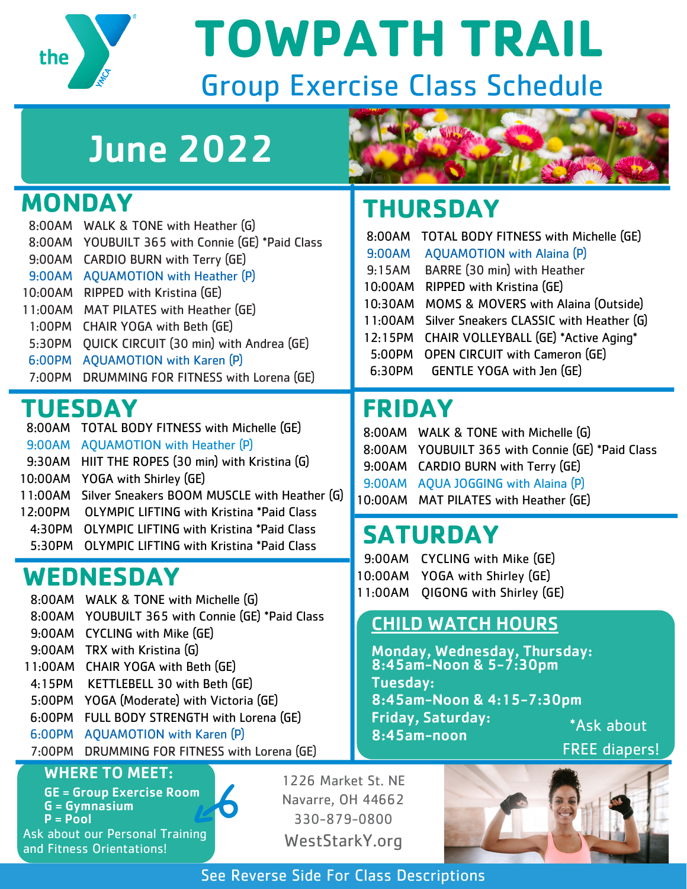

**TOWPATH TRAIL**

# Group Exercise Class Schedule

# June 2022

### **MONDAY**

8:00AM WALK & TONE with Heather (G) 8:00AM YOUBUILT 365 with Connie (GE) \*Paid Class 9:00AM CARDIO BURN with Terry (GE) 9:00AM AQUAMOTION with Heather (P) 10:00AM RIPPED with Kristina (GE) 11:00AM MAT PILATES with Heather (GE) 1:00PM CHAIR YOGA with Beth (GE) 5:30PM QUICK CIRCUIT (30 min) with Andrea (GE) 6:00PM AQUAMOTION with Karen (P) 7:00PM DRUMMING FOR FITNESS with Lorena (GE)

### **TUESDAY**

8:00AM TOTAL BODY FITNESS with Michelle (GE) 9:00AM AQUAMOTION with Heather (P) 9:30AM HIIT THE ROPES (30 min) with Kristina (G) 10:00AM YOGA with Shirley (GE) 11:00AM Silver Sneakers BOOM MUSCLE with Heather (G) 12:00PM OLYMPIC LIFTING with Kristina \*Paid Class 4:30PM OLYMPIC LIFTING with Kristina \*Paid Class 5:30PM OLYMPIC LIFTING with Kristina \*Paid Class

### **WEDNESDAY**

- 8:00AM WALK & TONE with Michelle (G)
- 8:00AM YOUBUILT 365 with Connie (GE) \*Paid Class
- 9:00AM CYCLING with Mike (GE)
- 9:00AM TRX with Kristina (G)
- 11:00AM CHAIR YOGA with Beth (GE)
- 4:15PM KETTLEBELL 30 with Beth (GE)
- 5:00PM YOGA (Moderate) with Victoria (GE)
- 6:00PM FULL BODY STRENGTH with Lorena (GE)
- 6:00PM AQUAMOTION with Karen (P)
- 7:00PM DRUMMING FOR FITNESS with Lorena (GE)

 $\overline{\bullet}$ 

#### WHERE TO MEET:

GE = Group Exercise Room G = Gymnasium  $P = P$ ool

Ask about our Personal Training and Fitness Orientations!

1226 Market St. NE Navarre, OH 44662 330-879-0800 WestStarkY.org



# **THURSDAY**

| 8:00AM  | <b>TOTAL BODY FITNESS with Michelle (GE)</b> |
|---------|----------------------------------------------|
| 9:00AM  | <b>AQUAMOTION</b> with Alaina (P)            |
| 9:15AM  | BARRE (30 min) with Heather                  |
| 10:00AM | RIPPED with Kristina (GE)                    |
| 10:30AM | MOMS & MOVERS with Alaina (Outside)          |
| 11:00AM | Silver Sneakers CLASSIC with Heather (G)     |
| 12:15PM | CHAIR VOLLEYBALL (GE) *Active Aging*         |
| 5:00PM  | <b>OPEN CIRCUIT with Cameron (GE)</b>        |
| 6:30PM  | GENTLE YOGA with Jen (GE)                    |

## **FRIDAY**

8:00AM WALK & TONE with Michelle (G) 8:00AM YOUBUILT 365 with Connie (GE) \*Paid Class 9:00AM CARDIO BURN with Terry (GE) 9:00AM AQUA JOGGING with Alaina (P) 10:00AM MAT PILATES with Heather (GE)

## **SATURDAY**

- 9:00AM CYCLING with Mike (GE)
- 10:00AM YOGA with Shirley (GE)
- 11:00AM QIGONG with Shirley (GE)

#### CHILD WATCH HOURS

Monday, Wednesday, Thursday: 8:45am-Noon & 5-7:30pm Tuesday: 8:45am-Noon & 4:15-7:30pm Friday, Saturday: 8:45am-noon

\*Ask about





See Reverse Side For Class Descriptions